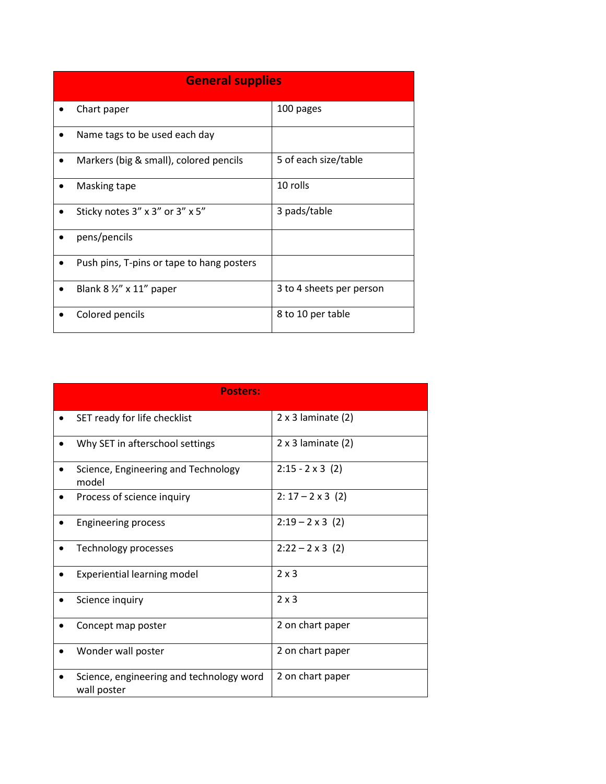| <b>General supplies</b>                   |                          |
|-------------------------------------------|--------------------------|
| Chart paper                               | 100 pages                |
| Name tags to be used each day             |                          |
| Markers (big & small), colored pencils    | 5 of each size/table     |
| Masking tape                              | 10 rolls                 |
| Sticky notes 3" x 3" or 3" x 5"           | 3 pads/table             |
| pens/pencils                              |                          |
| Push pins, T-pins or tape to hang posters |                          |
| Blank $8\frac{1}{2}$ " x 11" paper        | 3 to 4 sheets per person |
| Colored pencils                           | 8 to 10 per table        |

|                    | <b>Posters:</b>                          |                           |
|--------------------|------------------------------------------|---------------------------|
|                    | SET ready for life checklist             | $2 \times 3$ laminate (2) |
|                    | Why SET in afterschool settings          | $2 \times 3$ laminate (2) |
| $\bullet$<br>model | Science, Engineering and Technology      | $2:15 - 2 \times 3$ (2)   |
|                    | Process of science inquiry               | $2: 17 - 2 \times 3$ (2)  |
|                    | <b>Engineering process</b>               | $2:19 - 2 \times 3$ (2)   |
|                    | Technology processes                     | $2:22 - 2 \times 3$ (2)   |
|                    | <b>Experiential learning model</b>       | $2 \times 3$              |
| Science inquiry    |                                          | $2 \times 3$              |
|                    | Concept map poster                       | 2 on chart paper          |
|                    | Wonder wall poster                       | 2 on chart paper          |
| wall poster        | Science, engineering and technology word | 2 on chart paper          |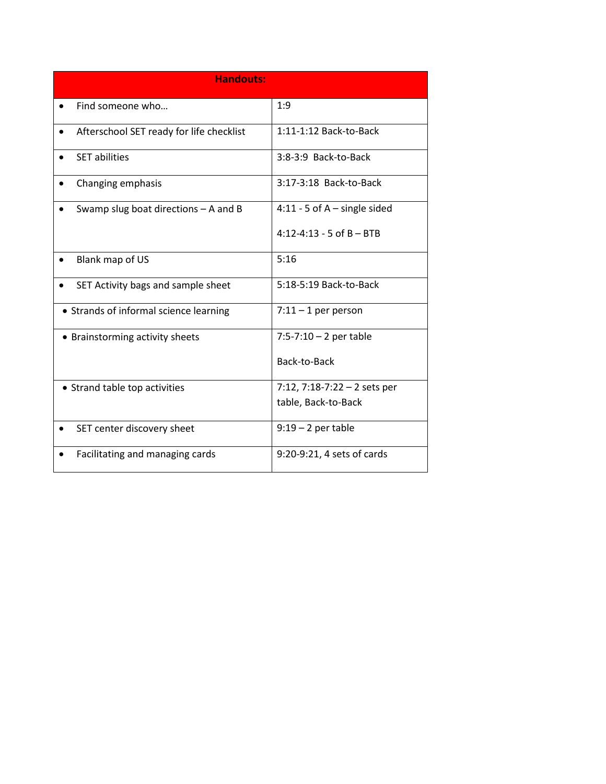| <b>Handouts:</b>                                      |                                 |
|-------------------------------------------------------|---------------------------------|
| Find someone who                                      | 1:9                             |
| Afterschool SET ready for life checklist<br>$\bullet$ | 1:11-1:12 Back-to-Back          |
| <b>SET abilities</b>                                  | 3:8-3:9 Back-to-Back            |
| Changing emphasis                                     | 3:17-3:18 Back-to-Back          |
| Swamp slug boat directions $-$ A and B                | 4:11 - 5 of $A$ – single sided  |
|                                                       | $4:12 - 4:13 - 5$ of B - BTB    |
| Blank map of US                                       | 5:16                            |
| SET Activity bags and sample sheet                    | 5:18-5:19 Back-to-Back          |
| • Strands of informal science learning                | $7:11 - 1$ per person           |
| • Brainstorming activity sheets                       | $7:5 - 7:10 - 2$ per table      |
|                                                       | Back-to-Back                    |
| • Strand table top activities                         | $7:12$ , $7:18-7:22-2$ sets per |
|                                                       | table, Back-to-Back             |
| SET center discovery sheet                            | $9:19-2$ per table              |
| Facilitating and managing cards                       | 9:20-9:21, 4 sets of cards      |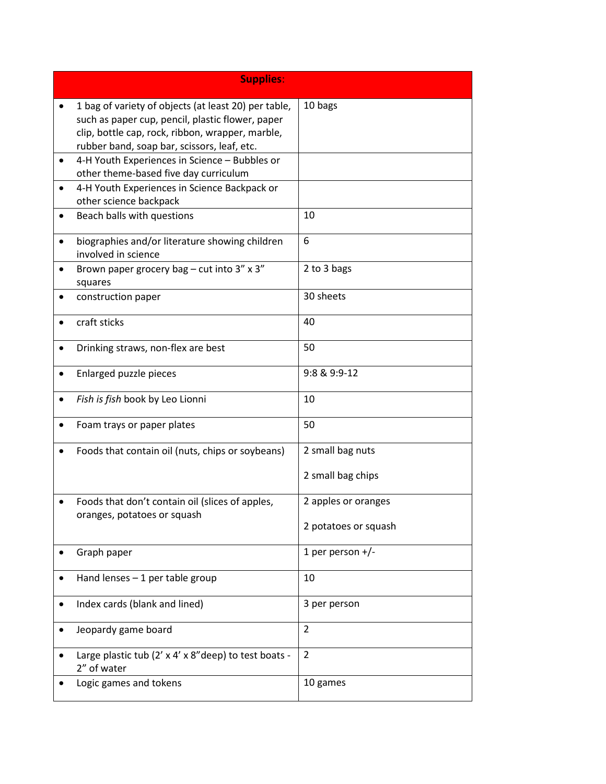| <b>Supplies:</b>                                                                                                                                                                                            |                      |
|-------------------------------------------------------------------------------------------------------------------------------------------------------------------------------------------------------------|----------------------|
| 1 bag of variety of objects (at least 20) per table,<br>such as paper cup, pencil, plastic flower, paper<br>clip, bottle cap, rock, ribbon, wrapper, marble,<br>rubber band, soap bar, scissors, leaf, etc. | 10 bags              |
| 4-H Youth Experiences in Science - Bubbles or<br>other theme-based five day curriculum                                                                                                                      |                      |
| 4-H Youth Experiences in Science Backpack or<br>other science backpack                                                                                                                                      |                      |
| Beach balls with questions                                                                                                                                                                                  | 10                   |
| biographies and/or literature showing children<br>involved in science                                                                                                                                       | 6                    |
| Brown paper grocery bag - cut into $3''$ x $3''$<br>squares                                                                                                                                                 | 2 to 3 bags          |
| construction paper                                                                                                                                                                                          | 30 sheets            |
| craft sticks                                                                                                                                                                                                | 40                   |
| Drinking straws, non-flex are best                                                                                                                                                                          | 50                   |
| Enlarged puzzle pieces                                                                                                                                                                                      | 9:8 & 9:9-12         |
| Fish is fish book by Leo Lionni                                                                                                                                                                             | 10                   |
| Foam trays or paper plates                                                                                                                                                                                  | 50                   |
| Foods that contain oil (nuts, chips or soybeans)                                                                                                                                                            | 2 small bag nuts     |
|                                                                                                                                                                                                             | 2 small bag chips    |
| Foods that don't contain oil (slices of apples,<br>oranges, potatoes or squash                                                                                                                              | 2 apples or oranges  |
|                                                                                                                                                                                                             | 2 potatoes or squash |
| Graph paper                                                                                                                                                                                                 | 1 per person $+/-$   |
| Hand lenses $-1$ per table group                                                                                                                                                                            | 10                   |
| Index cards (blank and lined)                                                                                                                                                                               | 3 per person         |
| Jeopardy game board                                                                                                                                                                                         | 2                    |
| Large plastic tub (2' x 4' x 8" deep) to test boats -<br>2" of water                                                                                                                                        | $\overline{2}$       |
| Logic games and tokens                                                                                                                                                                                      | 10 games             |